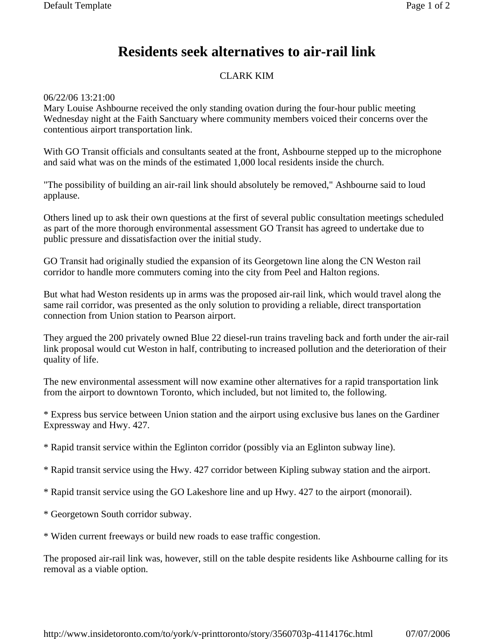## **Residents seek alternatives to air-rail link**

## CLARK KIM

06/22/06 13:21:00

Mary Louise Ashbourne received the only standing ovation during the four-hour public meeting Wednesday night at the Faith Sanctuary where community members voiced their concerns over the contentious airport transportation link.

With GO Transit officials and consultants seated at the front, Ashbourne stepped up to the microphone and said what was on the minds of the estimated 1,000 local residents inside the church.

"The possibility of building an air-rail link should absolutely be removed," Ashbourne said to loud applause.

Others lined up to ask their own questions at the first of several public consultation meetings scheduled as part of the more thorough environmental assessment GO Transit has agreed to undertake due to public pressure and dissatisfaction over the initial study.

GO Transit had originally studied the expansion of its Georgetown line along the CN Weston rail corridor to handle more commuters coming into the city from Peel and Halton regions.

But what had Weston residents up in arms was the proposed air-rail link, which would travel along the same rail corridor, was presented as the only solution to providing a reliable, direct transportation connection from Union station to Pearson airport.

They argued the 200 privately owned Blue 22 diesel-run trains traveling back and forth under the air-rail link proposal would cut Weston in half, contributing to increased pollution and the deterioration of their quality of life.

The new environmental assessment will now examine other alternatives for a rapid transportation link from the airport to downtown Toronto, which included, but not limited to, the following.

\* Express bus service between Union station and the airport using exclusive bus lanes on the Gardiner Expressway and Hwy. 427.

\* Rapid transit service within the Eglinton corridor (possibly via an Eglinton subway line).

\* Rapid transit service using the Hwy. 427 corridor between Kipling subway station and the airport.

\* Rapid transit service using the GO Lakeshore line and up Hwy. 427 to the airport (monorail).

\* Georgetown South corridor subway.

\* Widen current freeways or build new roads to ease traffic congestion.

The proposed air-rail link was, however, still on the table despite residents like Ashbourne calling for its removal as a viable option.